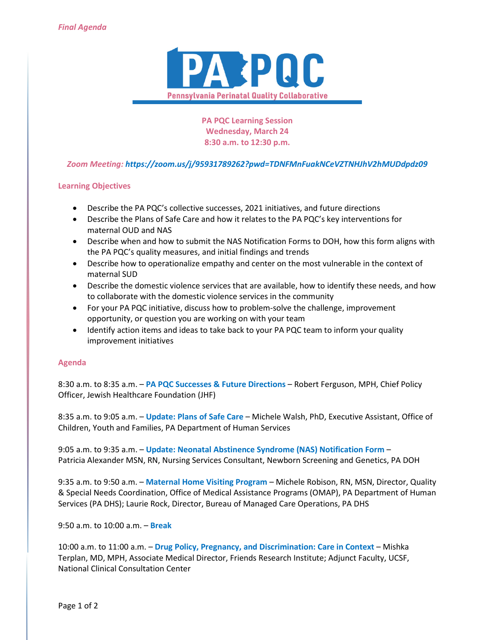

**PA PQC Learning Session Wednesday, March 24 8:30 a.m. to 12:30 p.m.**

# *Zoom Meeting: https://zoom.us/j/95931789262?pwd=TDNFMnFuakNCeVZTNHJhV2hMUDdpdz09*

## **Learning Objectives**

- Describe the PA PQC's collective successes, 2021 initiatives, and future directions
- Describe the Plans of Safe Care and how it relates to the PA PQC's key interventions for maternal OUD and NAS
- Describe when and how to submit the NAS Notification Forms to DOH, how this form aligns with the PA PQC's quality measures, and initial findings and trends
- Describe how to operationalize empathy and center on the most vulnerable in the context of maternal SUD
- Describe the domestic violence services that are available, how to identify these needs, and how to collaborate with the domestic violence services in the community
- For your PA PQC initiative, discuss how to problem-solve the challenge, improvement opportunity, or question you are working on with your team
- Identify action items and ideas to take back to your PA PQC team to inform your quality improvement initiatives

## **Agenda**

8:30 a.m. to 8:35 a.m. – **PA PQC Successes & Future Directions** – Robert Ferguson, MPH, Chief Policy Officer, Jewish Healthcare Foundation (JHF)

8:35 a.m. to 9:05 a.m. – **Update: Plans of Safe Care** – Michele Walsh, PhD, Executive Assistant, Office of Children, Youth and Families, PA Department of Human Services

9:05 a.m. to 9:35 a.m. – **Update: Neonatal Abstinence Syndrome (NAS) Notification Form** – Patricia Alexander MSN, RN, Nursing Services Consultant, Newborn Screening and Genetics, PA DOH

9:35 a.m. to 9:50 a.m. – **Maternal Home Visiting Program** – Michele Robison, RN, MSN, Director, Quality & Special Needs Coordination, Office of Medical Assistance Programs (OMAP), PA Department of Human Services (PA DHS); Laurie Rock, Director, Bureau of Managed Care Operations, PA DHS

9:50 a.m. to 10:00 a.m. – **Break**

10:00 a.m. to 11:00 a.m. - Drug Policy, Pregnancy, and Discrimination: Care in Context - Mishka Terplan, MD, MPH, Associate Medical Director, Friends Research Institute; Adjunct Faculty, UCSF, National Clinical Consultation Center